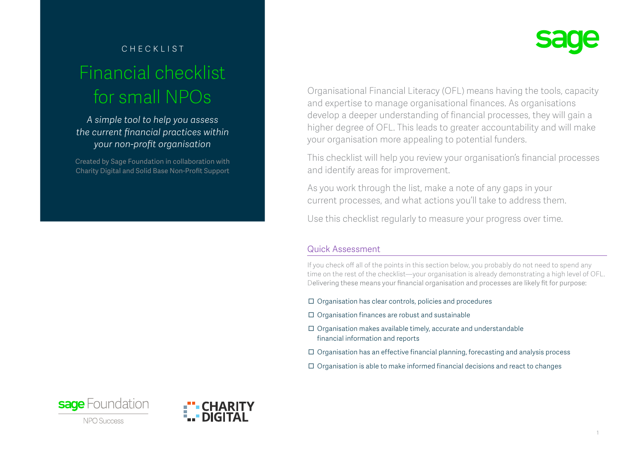# checklist Financial checklist for small NPOs

*A simple tool to help you assess the current financial practices within your non-profit organisation* 

Created by Sage Foundation in collaboration with Charity Digital and Solid Base Non-Profit Support



Organisational Financial Literacy (OFL) means having the tools, capacity and expertise to manage organisational finances. As organisations develop a deeper understanding of financial processes, they will gain a higher degree of OFL. This leads to greater accountability and will make your organisation more appealing to potential funders.

This checklist will help you review your organisation's financial processes and identify areas for improvement.

As you work through the list, make a note of any gaps in your current processes, and what actions you'll take to address them.

Use this checklist regularly to measure your progress over time.

# Quick Assessment

If you check off all of the points in this section below, you probably do not need to spend any time on the rest of the checklist—your organisation is already demonstrating a high level of OFL. Delivering these means your financial organisation and processes are likely fit for purpose:

- $\Box$  Organisation has clear controls, policies and procedures
- $\Box$  Organisation finances are robust and sustainable
- $\Box$  Organisation makes available timely, accurate and understandable financial information and reports
- $\Box$  Organisation has an effective financial planning, forecasting and analysis process
- $\Box$  Organisation is able to make informed financial decisions and react to changes